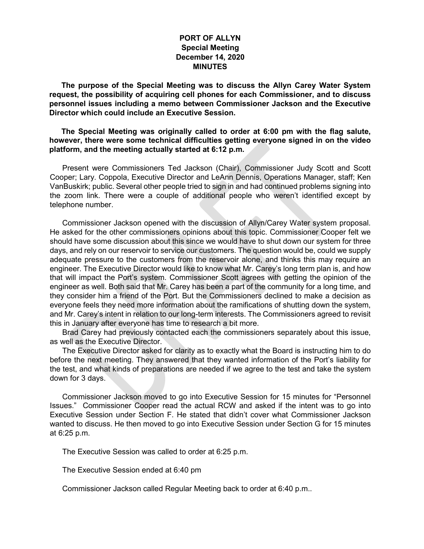## **PORT OF ALLYN Special Meeting December 14, 2020 MINUTES**

**The purpose of the Special Meeting was to discuss the Allyn Carey Water System request, the possibility of acquiring cell phones for each Commissioner, and to discuss personnel issues including a memo between Commissioner Jackson and the Executive Director which could include an Executive Session.** 

**The Special Meeting was originally called to order at 6:00 pm with the flag salute, however, there were some technical difficulties getting everyone signed in on the video platform, and the meeting actually started at 6:12 p.m.**

Present were Commissioners Ted Jackson (Chair), Commissioner Judy Scott and Scott Cooper; Lary. Coppola, Executive Director and LeAnn Dennis, Operations Manager, staff; Ken VanBuskirk; public. Several other people tried to sign in and had continued problems signing into the zoom link. There were a couple of additional people who weren't identified except by telephone number.

Commissioner Jackson opened with the discussion of Allyn/Carey Water system proposal. He asked for the other commissioners opinions about this topic. Commissioner Cooper felt we should have some discussion about this since we would have to shut down our system for three days, and rely on our reservoir to service our customers. The question would be, could we supply adequate pressure to the customers from the reservoir alone, and thinks this may require an engineer. The Executive Director would like to know what Mr. Carey's long term plan is, and how that will impact the Port's system. Commissioner Scott agrees with getting the opinion of the engineer as well. Both said that Mr. Carey has been a part of the community for a long time, and they consider him a friend of the Port. But the Commissioners declined to make a decision as everyone feels they need more information about the ramifications of shutting down the system, and Mr. Carey's intent in relation to our long-term interests. The Commissioners agreed to revisit this in January after everyone has time to research a bit more.

Brad Carey had previously contacted each the commissioners separately about this issue, as well as the Executive Director.

The Executive Director asked for clarity as to exactly what the Board is instructing him to do before the next meeting. They answered that they wanted information of the Port's liability for the test, and what kinds of preparations are needed if we agree to the test and take the system down for 3 days.

Commissioner Jackson moved to go into Executive Session for 15 minutes for "Personnel Issues." Commissioner Cooper read the actual RCW and asked if the intent was to go into Executive Session under Section F. He stated that didn't cover what Commissioner Jackson wanted to discuss. He then moved to go into Executive Session under Section G for 15 minutes at 6:25 p.m.

The Executive Session was called to order at 6:25 p.m.

The Executive Session ended at 6:40 pm

Commissioner Jackson called Regular Meeting back to order at 6:40 p.m..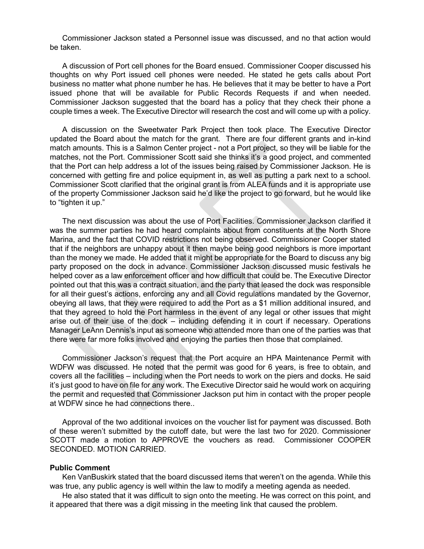Commissioner Jackson stated a Personnel issue was discussed, and no that action would be taken.

A discussion of Port cell phones for the Board ensued. Commissioner Cooper discussed his thoughts on why Port issued cell phones were needed. He stated he gets calls about Port business no matter what phone number he has. He believes that it may be better to have a Port issued phone that will be available for Public Records Requests if and when needed. Commissioner Jackson suggested that the board has a policy that they check their phone a couple times a week. The Executive Director will research the cost and will come up with a policy.

A discussion on the Sweetwater Park Project then took place. The Executive Director updated the Board about the match for the grant. There are four different grants and in-kind match amounts. This is a Salmon Center project - not a Port project, so they will be liable for the matches, not the Port. Commissioner Scott said she thinks it's a good project, and commented that the Port can help address a lot of the issues being raised by Commissioner Jackson. He is concerned with getting fire and police equipment in, as well as putting a park next to a school. Commissioner Scott clarified that the original grant is from ALEA funds and it is appropriate use of the property Commissioner Jackson said he'd like the project to go forward, but he would like to "tighten it up."

The next discussion was about the use of Port Facilities. Commissioner Jackson clarified it was the summer parties he had heard complaints about from constituents at the North Shore Marina, and the fact that COVID restrictions not being observed. Commissioner Cooper stated that if the neighbors are unhappy about it then maybe being good neighbors is more important than the money we made. He added that it might be appropriate for the Board to discuss any big party proposed on the dock in advance. Commissioner Jackson discussed music festivals he helped cover as a law enforcement officer and how difficult that could be. The Executive Director pointed out that this was a contract situation, and the party that leased the dock was responsible for all their guest's actions, enforcing any and all Covid regulations mandated by the Governor, obeying all laws, that they were required to add the Port as a \$1 million additional insured, and that they agreed to hold the Port harmless in the event of any legal or other issues that might arise out of their use of the dock – including defending it in court if necessary. Operations Manager LeAnn Dennis's input as someone who attended more than one of the parties was that there were far more folks involved and enjoying the parties then those that complained.

Commissioner Jackson's request that the Port acquire an HPA Maintenance Permit with WDFW was discussed. He noted that the permit was good for 6 years, is free to obtain, and covers all the facilities – including when the Port needs to work on the piers and docks. He said it's just good to have on file for any work. The Executive Director said he would work on acquiring the permit and requested that Commissioner Jackson put him in contact with the proper people at WDFW since he had connections there..

Approval of the two additional invoices on the voucher list for payment was discussed. Both of these weren't submitted by the cutoff date, but were the last two for 2020. Commissioner SCOTT made a motion to APPROVE the vouchers as read. Commissioner COOPER SECONDED. MOTION CARRIED.

## **Public Comment**

Ken VanBuskirk stated that the board discussed items that weren't on the agenda. While this was true, any public agency is well within the law to modify a meeting agenda as needed.

He also stated that it was difficult to sign onto the meeting. He was correct on this point, and it appeared that there was a digit missing in the meeting link that caused the problem.